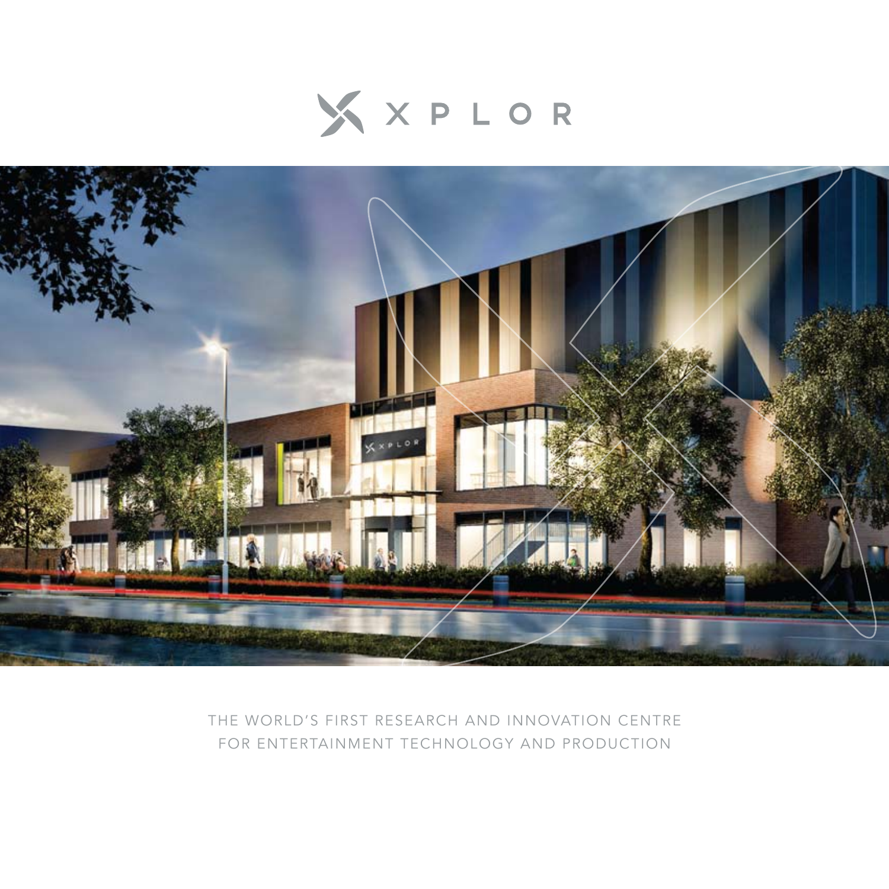



THE WORLD'S FIRST RESEARCH AND INNOVATION CENTRE FOR ENTERTAINMENT TECHNOLOGY AND PRODUCTION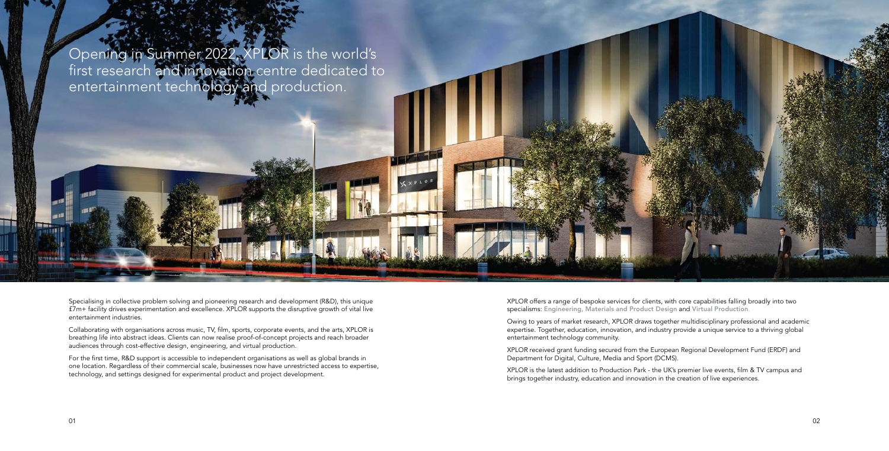Specialising in collective problem solving and pioneering research and development (R&D), this unique £7m+ facility drives experimentation and excellence. XPLOR supports the disruptive growth of vital live entertainment industries.

Collaborating with organisations across music, TV, film, sports, corporate events, and the arts, XPLOR is breathing life into abstract ideas. Clients can now realise proof-of-concept projects and reach broader audiences through cost-effective design, engineering, and virtual production.

For the first time, R&D support is accessible to independent organisations as well as global brands in one location. Regardless of their commercial scale, businesses now have unrestricted access to expertise, technology, and settings designed for experimental product and project development.

Opening in Summer 2022, XPLOR is the world's first research and innovation centre dedicated to entertainment technology and production.

XPLOR offers a range of bespoke services for clients, with core capabilities falling broadly into two specialisms: Engineering, Materials and Product Design and Virtual Production.

Owing to years of market research, XPLOR draws together multidisciplinary professional and academic expertise. Together, education, innovation, and industry provide a unique service to a thriving global entertainment technology community.

XPLOR received grant funding secured from the European Regional Development Fund (ERDF) and Department for Digital, Culture, Media and Sport (DCMS).

XPLOR is the latest addition to Production Park - the UK's premier live events, film & TV campus and brings together industry, education and innovation in the creation of live experiences.

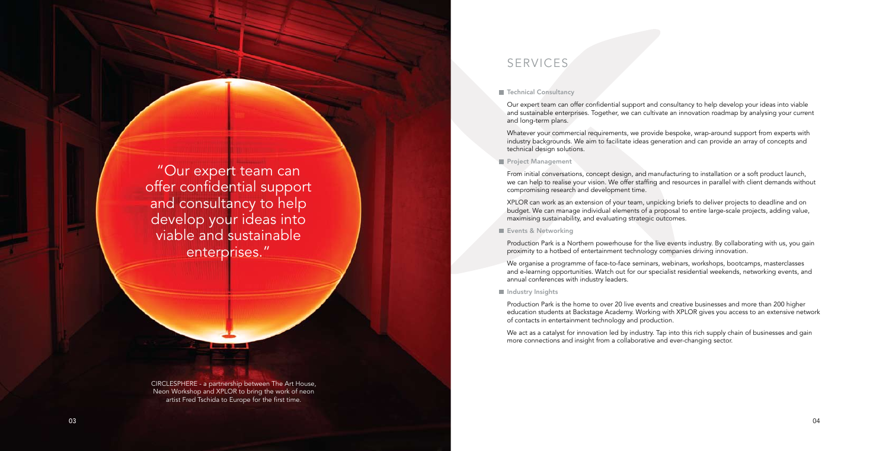CIRCLESPHERE - a partnership between The Art House, Neon Workshop and XPLOR to bring the work of neon artist Fred Tschida to Europe for the first time.

**Contract Contract** 

"Our expert team can offer confidential support and consultancy to help develop your ideas into viable and sustainable enterprises."

Our expert team can offer confidential support and consultancy to help develop your ideas into viable and sustainable enterprises. Together, we can cultivate an innovation roadmap by analysing your current and long-term plans.

Whatever your commercial requirements, we provide bespoke, wrap-around support from experts with industry backgrounds. We aim to facilitate ideas generation and can provide an array of concepts and technical design solutions.

#### **Project Management**

From initial conversations, concept design, and manufacturing to installation or a soft product launch, we can help to realise your vision. We offer staffing and resources in parallel with client demands without compromising research and development time.

XPLOR can work as an extension of your team, unpicking briefs to deliver projects to deadline and on budget. We can manage individual elements of a proposal to entire large-scale projects, adding value, maximising sustainability, and evaluating strategic outcomes.

#### **Events & Networking**

Production Park is a Northern powerhouse for the live events industry. By collaborating with us, you gain proximity to a hotbed of entertainment technology companies driving innovation.

We organise a programme of face-to-face seminars, webinars, workshops, bootcamps, masterclasses and e-learning opportunities. Watch out for our specialist residential weekends, networking events, and annual conferences with industry leaders.

#### Industry Insights

Production Park is the home to over 20 live events and creative businesses and more than 200 higher education students at Backstage Academy. Working with XPLOR gives you access to an extensive network of contacts in entertainment technology and production.

We act as a catalyst for innovation led by industry. Tap into this rich supply chain of businesses and gain more connections and insight from a collaborative and ever-changing sector.

### SERVICES

#### ■ Technical Consultancy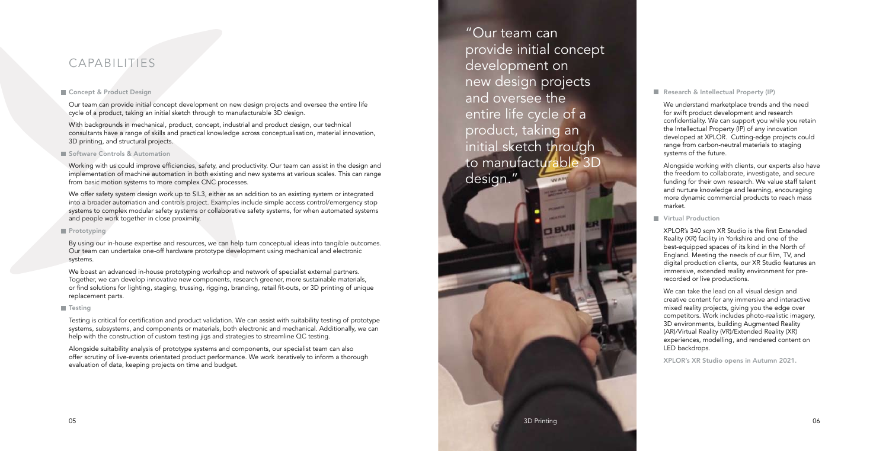Our team can provide initial concept development on new design projects and oversee the entire life cycle of a product, taking an initial sketch through to manufacturable 3D design.

With backgrounds in mechanical, product, concept, industrial and product design, our technical consultants have a range of skills and practical knowledge across conceptualisation, material innovation, 3D printing, and structural projects.

#### Software Controls & Automation

Working with us could improve efficiencies, safety, and productivity. Our team can assist in the design and implementation of machine automation in both existing and new systems at various scales. This can range from basic motion systems to more complex CNC processes.

We offer safety system design work up to SIL3, either as an addition to an existing system or integrated into a broader automation and controls project. Examples include simple access control/emergency stop systems to complex modular safety systems or collaborative safety systems, for when automated systems and people work together in close proximity.

#### Prototyping

By using our in-house expertise and resources, we can help turn conceptual ideas into tangible outcomes. Our team can undertake one-off hardware prototype development using mechanical and electronic systems.

We boast an advanced in-house prototyping workshop and network of specialist external partners. Together, we can develop innovative new components, research greener, more sustainable materials, or find solutions for lighting, staging, trussing, rigging, branding, retail fit-outs, or 3D printing of unique replacement parts.

#### **Testing**

"Our team can provide initial concept development on new design projects and oversee the entire life cycle of a product, taking an initial sketch through to manufacturable 3D design."

Testing is critical for certification and product validation. We can assist with suitability testing of prototype systems, subsystems, and components or materials, both electronic and mechanical. Additionally, we can help with the construction of custom testing jigs and strategies to streamline QC testing.

 $\theta$ <sub>DBU</sub>

Alongside suitability analysis of prototype systems and components, our specialist team can also offer scrutiny of live-events orientated product performance. We work iteratively to inform a thorough evaluation of data, keeping projects on time and budget.

## CAPABILITIES

#### Concept & Product Design

#### Research & Intellectual Property (IP)

We understand marketplace trends and the need for swift product development and research confidentiality. We can support you while you retain the Intellectual Property (IP) of any innovation developed at XPLOR. Cutting-edge projects could range from carbon-neutral materials to staging systems of the future.

Alongside working with clients, our experts also have the freedom to collaborate, investigate, and secure funding for their own research. We value staff talent and nurture knowledge and learning, encouraging more dynamic commercial products to reach mass market.

#### **Virtual Production**

XPLOR's 340 sqm XR Studio is the first Extended Reality (XR) facility in Yorkshire and one of the best-equipped spaces of its kind in the North of England. Meeting the needs of our film, TV, and digital production clients, our XR Studio features an immersive, extended reality environment for prerecorded or live productions.

We can take the lead on all visual design and creative content for any immersive and interactive mixed reality projects, giving you the edge over competitors. Work includes photo-realistic imagery, 3D environments, building Augmented Reality (AR)/Virtual Reality (VR)/Extended Reality (XR) experiences, modelling, and rendered content on LED backdrops.

XPLOR's XR Studio opens in Autumn 2021.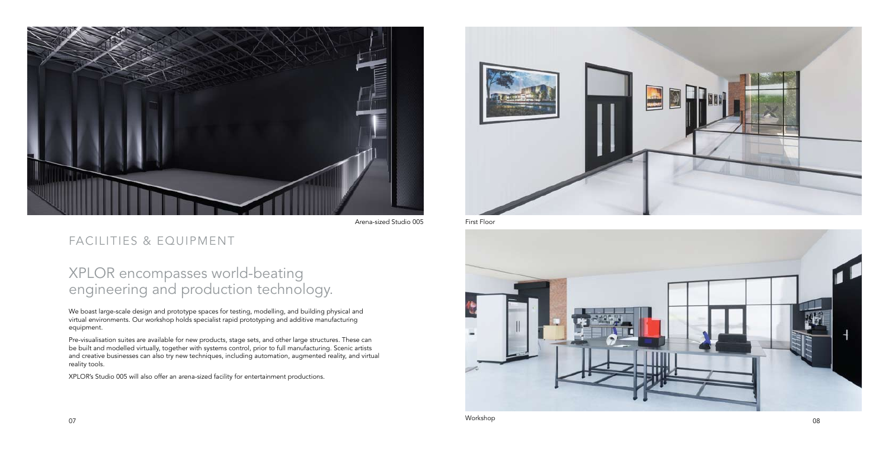We boast large-scale design and prototype spaces for testing, modelling, and building physical and virtual environments. Our workshop holds specialist rapid prototyping and additive manufacturing equipment.

Pre-visualisation suites are available for new products, stage sets, and other large structures. These can be built and modelled virtually, together with systems control, prior to full manufacturing. Scenic artists and creative businesses can also try new techniques, including automation, augmented reality, and virtual reality tools.

XPLOR's Studio 005 will also offer an arena-sized facility for entertainment productions.



## FACILITIES & EQUIPMENT

# XPLOR encompasses world-beating engineering and production technology.





First Floor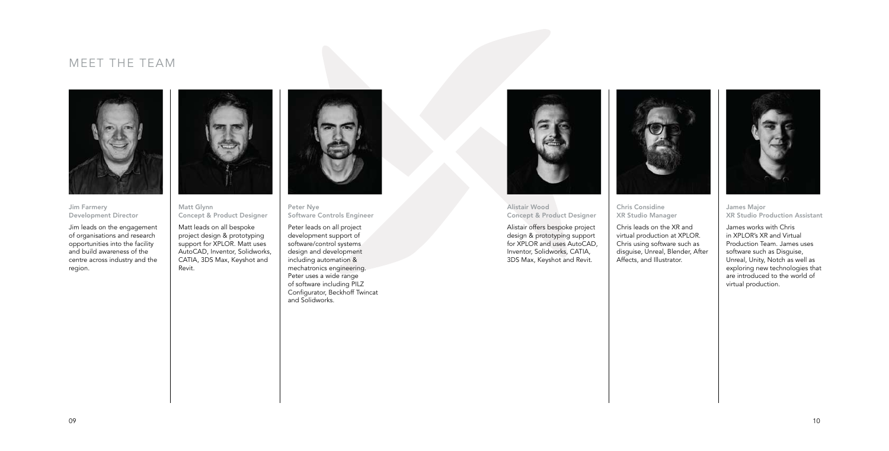## MEET THE TEAM



Jim Farmery Development Director

Jim leads on the engagement of organisations and research opportunities into the facility and build awareness of the centre across industry and the region.



Matt Glynn Concept & Product Designer

Matt leads on all bespoke project design & prototyping support for XPLOR. Matt uses AutoCAD, Inventor, Solidworks, CATIA, 3DS Max, Keyshot and Revit.



Peter Nye Software Controls Engineer

Peter leads on all project development support of software/control systems design and development including automation & mechatronics engineering. Peter uses a wide range of software including PILZ Configurator, Beckhoff Twincat and Solidworks.



09

Alistair Wood Concept & Product Designer

Alistair offers bespoke project design & prototyping support for XPLOR and uses AutoCAD, Inventor, Solidworks, CATIA, 3DS Max, Keyshot and Revit.



Chris Considine XR Studio Manager

Chris leads on the XR and virtual production at XPLOR. Chris using software such as disguise, Unreal, Blender, After Affects, and Illustrator.



James Major XR Studio Production Assistant

James works with Chris in XPLOR's XR and Virtual Production Team. James uses software such as Disguise, Unreal, Unity, Notch as well as exploring new technologies that are introduced to the world of virtual production.